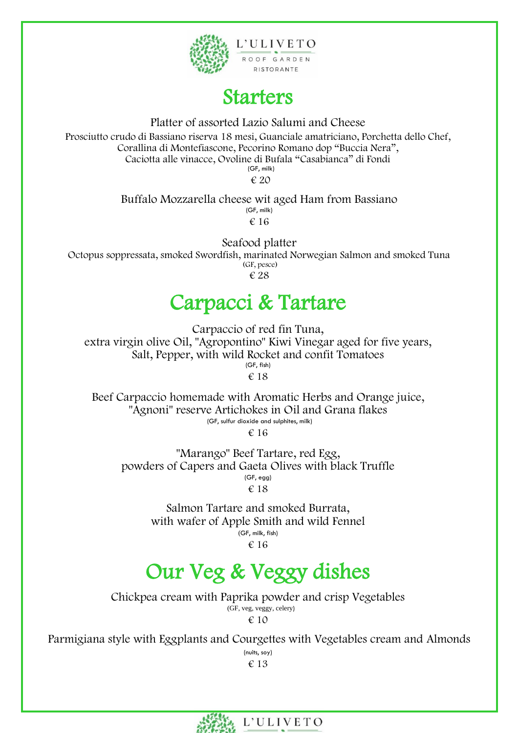

#### **Starters**

Platter of assorted Lazio Salumi and Cheese Prosciutto crudo di Bassiano riserva 18 mesi, Guanciale amatriciano, Porchetta dello Chef, Corallina di Montefiascone, Pecorino Romano dop "Buccia Nera", Caciotta alle vinacce, Ovoline di Bufala "Casabianca" di Fondi (GF, milk)

€ 20

Buffalo Mozzarella cheese wit aged Ham from Bassiano (GF, milk) € 16

Seafood platter Octopus soppressata, smoked Swordfish, marinated Norwegian Salmon and smoked Tuna (GF, pesce) € 28

## Carpacci & Tartare

Carpaccio of red fin Tuna,

extra virgin olive Oil, "Agropontino" Kiwi Vinegar aged for five years, Salt, Pepper, with wild Rocket and confit Tomatoes (GF, fish)

€ 18

Beef Carpaccio homemade with Aromatic Herbs and Orange juice, "Agnoni" reserve Artichokes in Oil and Grana flakes (GF, sulfur dioxide and sulphites, milk)

€ 16

"Marango" Beef Tartare, red Egg, powders of Capers and Gaeta Olives with black Truffle (GF, egg) € 18

> Salmon Tartare and smoked Burrata, with wafer of Apple Smith and wild Fennel (GF, milk, fish)

€ 16

# Our Veg & Veggy dishes

Chickpea cream with Paprika powder and crisp Vegetables (GF, veg, veggy, celery) € 10

Parmigiana style with Eggplants and Courgettes with Vegetables cream and Almonds

(nuits, soy) € 13



 $\overline{\phantom{0}}$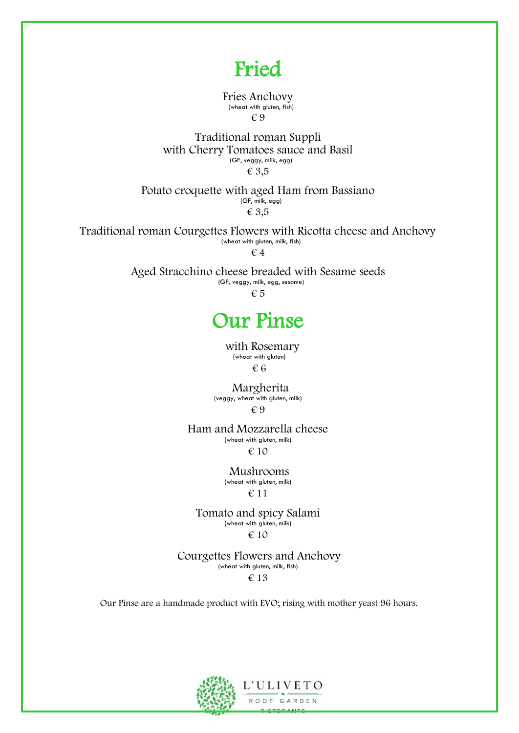### Fried

I

Fries Anchovy (wheat with gluten, fish) € 9

Traditional roman Supplì with Cherry Tomatoes sauce and Basil (GF, veggy, milk, egg) € 3,5

Potato croquette with aged Ham from Bassiano (GF, milk, egg) € 3,5

Traditional roman Courgettes Flowers with Ricotta cheese and Anchovy (wheat with gluten, milk, fish) € 4

> Aged Stracchino cheese breaded with Sesame seeds (GF, veggy, milk, egg, sesame)

€ 5

#### Our Pinse

 with Rosemary (wheat with gluten) € 6

 Margherita (veggy, wheat with gluten, milk)

€ 9

Ham and Mozzarella cheese (wheat with gluten, milk) € 10

Mushrooms

(wheat with gluten, milk) € 11

Tomato and spicy Salami (wheat with gluten, milk)

€ 10

Courgettes Flowers and Anchovy (wheat with gluten, milk, fish) € 13

Our Pinse are a handmade product with EVO; rising with mother yeast 96 hours.

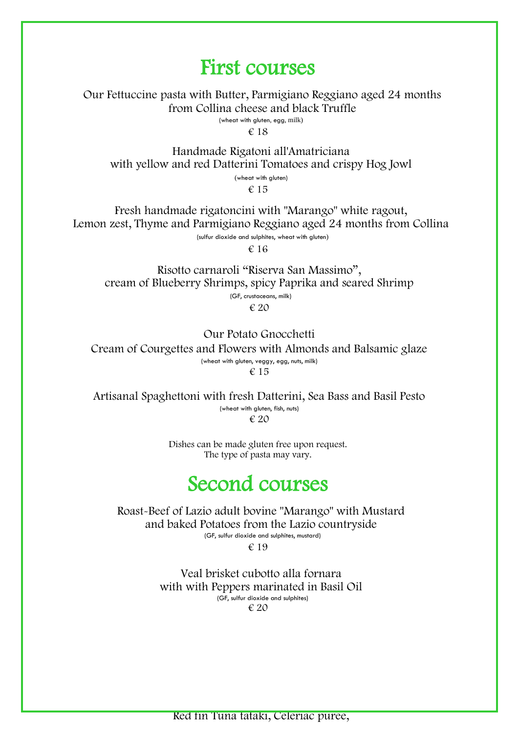#### First courses

Ξ

Our Fettuccine pasta with Butter, Parmigiano Reggiano aged 24 months from Collina cheese and black Truffle (wheat with gluten, egg, milk)

€ 18

Handmade Rigatoni all'Amatriciana with yellow and red Datterini Tomatoes and crispy Hog Jowl

(wheat with gluten)

€ 15

Fresh handmade rigatoncini with "Marango" white ragout, Lemon zest, Thyme and Parmigiano Reggiano aged 24 months from Collina

(sulfur dioxide and sulphites, wheat with gluten)

€ 16

Risotto carnaroli "Riserva San Massimo", cream of Blueberry Shrimps, spicy Paprika and seared Shrimp (GF, crustaceans, milk)

€ 20

Our Potato Gnocchetti Cream of Courgettes and Flowers with Almonds and Balsamic glaze (wheat with gluten, veggy, egg, nuts, milk) € 15

Artisanal Spaghettoni with fresh Datterini, Sea Bass and Basil Pesto (wheat with gluten, fish, nuts) € 20

> Dishes can be made gluten free upon request. The type of pasta may vary.

### Second courses

Roast-Beef of Lazio adult bovine "Marango" with Mustard and baked Potatoes from the Lazio countryside (GF, sulfur dioxide and sulphites, mustard)

€ 19

Veal brisket cubotto alla fornara with with Peppers marinated in Basil Oil (GF, sulfur dioxide and sulphites) € 20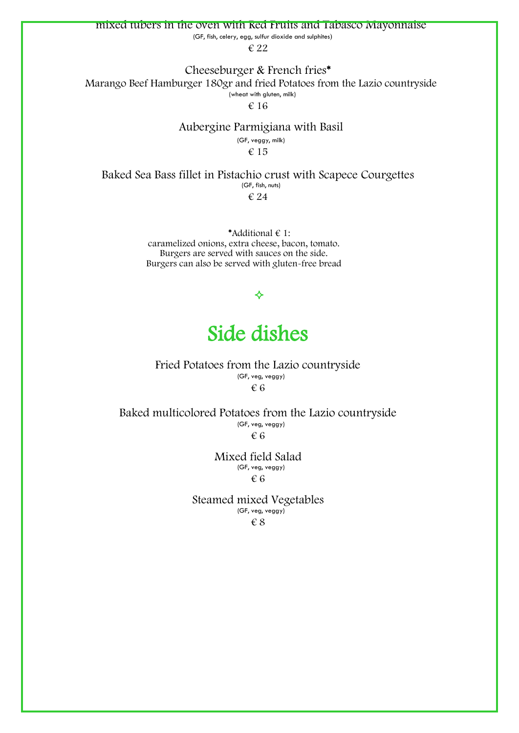(GF, fish, celery, egg, sulfur dioxide and sulphites)

€ 22

Cheeseburger & French fries\*

Marango Beef Hamburger 180gr and fried Potatoes from the Lazio countryside

(wheat with gluten, milk)

€ 16

#### Aubergine Parmigiana with Basil

(GF, veggy, milk)

€ 15

Baked Sea Bass fillet in Pistachio crust with Scapece Courgettes (GF, fish, nuts)

€ 24

\*Additional € 1: caramelized onions, extra cheese, bacon, tomato. Burgers are served with sauces on the side. Burgers can also be served with gluten-free bread

#### ❖

### Side dishes

Fried Potatoes from the Lazio countryside (GF, veg, veggy) € 6

Baked multicolored Potatoes from the Lazio countryside (GF, veg, veggy)  $\epsilon$  6

> Mixed field Salad (GF, veg, veggy) € 6

Steamed mixed Vegetables (GF, veg, veggy) € 8